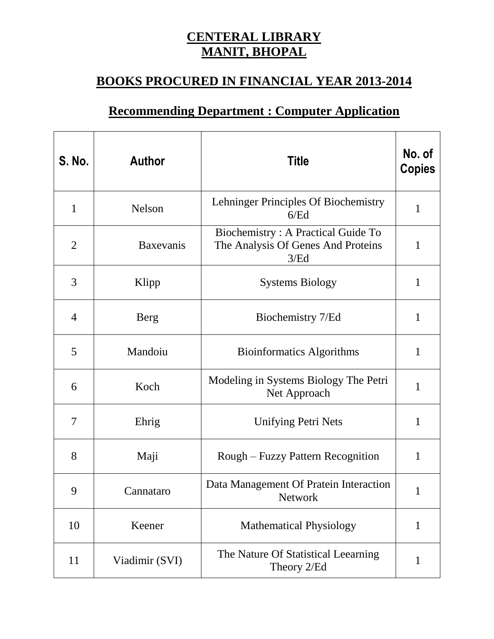## **CENTERAL LIBRARY MANIT, BHOPAL**

## **BOOKS PROCURED IN FINANCIAL YEAR 2013-2014**

## **Recommending Department : Computer Application**

| <b>S. No.</b>  | <b>Author</b>    | <b>Title</b>                                                                     | No. of<br><b>Copies</b> |
|----------------|------------------|----------------------------------------------------------------------------------|-------------------------|
| $\mathbf{1}$   | <b>Nelson</b>    | Lehninger Principles Of Biochemistry<br>6/Ed                                     | $\mathbf 1$             |
| $\overline{2}$ | <b>Baxevanis</b> | Biochemistry: A Practical Guide To<br>The Analysis Of Genes And Proteins<br>3/Ed | $\mathbf{1}$            |
| 3              | Klipp            | <b>Systems Biology</b>                                                           | $\mathbf{1}$            |
| $\overline{4}$ | <b>Berg</b>      | Biochemistry 7/Ed                                                                | $\mathbf{1}$            |
| 5              | Mandoiu          | <b>Bioinformatics Algorithms</b>                                                 | $\mathbf{1}$            |
| 6              | Koch             | Modeling in Systems Biology The Petri<br>Net Approach                            | $\mathbf{1}$            |
| 7              | Ehrig            | <b>Unifying Petri Nets</b>                                                       | 1                       |
| 8              | Maji             | Rough – Fuzzy Pattern Recognition                                                | 1                       |
| 9              | Cannataro        | Data Management Of Pratein Interaction<br>Network                                | $\mathbf{1}$            |
| 10             | Keener           | <b>Mathematical Physiology</b>                                                   | $\mathbf{1}$            |
| 11             | Viadimir (SVI)   | The Nature Of Statistical Leearning<br>Theory 2/Ed                               | $\mathbf{1}$            |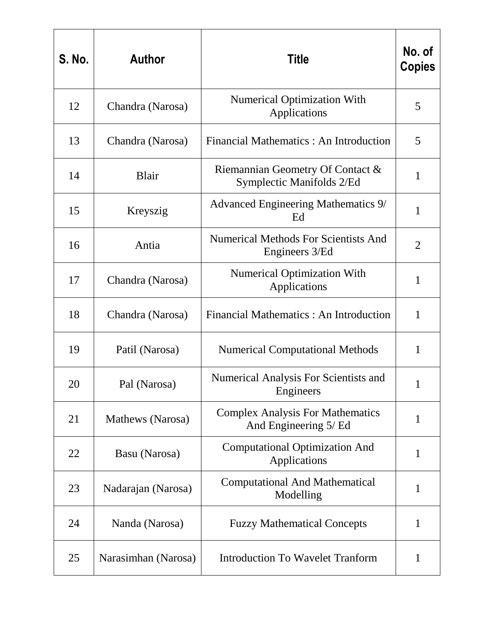| <b>S. No.</b> | <b>Author</b>       | <b>Title</b>                                                     | No. of<br><b>Copies</b> |
|---------------|---------------------|------------------------------------------------------------------|-------------------------|
| 12            | Chandra (Narosa)    | Numerical Optimization With<br>Applications                      | 5                       |
| 13            | Chandra (Narosa)    | Financial Mathematics : An Introduction                          | 5                       |
| 14            | <b>Blair</b>        | Riemannian Geometry Of Contact &<br>Symplectic Manifolds 2/Ed    | $\mathbf{1}$            |
| 15            | Kreyszig            | Advanced Engineering Mathematics 9/<br>Ed                        | $\mathbf{1}$            |
| 16            | Antia               | <b>Numerical Methods For Scientists And</b><br>Engineers 3/Ed    | $\overline{2}$          |
| 17            | Chandra (Narosa)    | <b>Numerical Optimization With</b><br>Applications               | $\mathbf{1}$            |
| 18            | Chandra (Narosa)    | Financial Mathematics : An Introduction                          | $\mathbf{1}$            |
| 19            | Patil (Narosa)      | <b>Numerical Computational Methods</b>                           | 1                       |
| 20            | Pal (Narosa)        | Numerical Analysis For Scientists and<br>Engineers               | 1                       |
| 21            | Mathews (Narosa)    | <b>Complex Analysis For Mathematics</b><br>And Engineering 5/ Ed | 1                       |
| 22            | Basu (Narosa)       | <b>Computational Optimization And</b><br>Applications            | $\mathbf{1}$            |
| 23            | Nadarajan (Narosa)  | <b>Computational And Mathematical</b><br>Modelling               | $\mathbf{1}$            |
| 24            | Nanda (Narosa)      | <b>Fuzzy Mathematical Concepts</b>                               | 1                       |
| 25            | Narasimhan (Narosa) | <b>Introduction To Wavelet Tranform</b>                          | 1                       |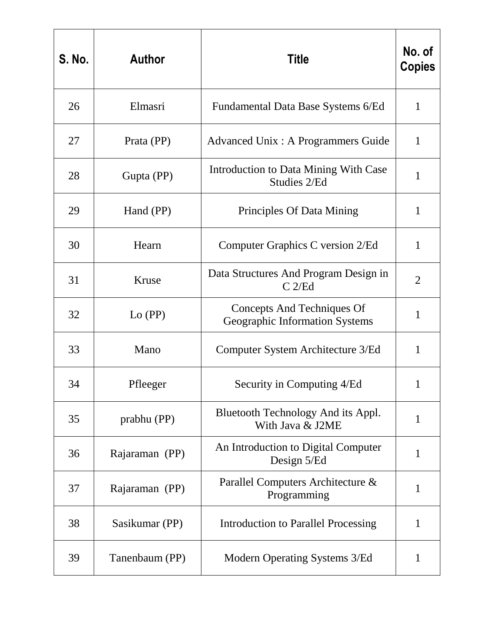| <b>S. No.</b> | <b>Author</b>  | <b>Title</b>                                                 | No. of<br><b>Copies</b> |
|---------------|----------------|--------------------------------------------------------------|-------------------------|
| 26            | Elmasri        | Fundamental Data Base Systems 6/Ed                           | $\mathbf{1}$            |
| 27            | Prata (PP)     | <b>Advanced Unix: A Programmers Guide</b>                    | $\mathbf{1}$            |
| 28            | Gupta (PP)     | Introduction to Data Mining With Case<br>Studies 2/Ed        | $\mathbf{1}$            |
| 29            | Hand (PP)      | Principles Of Data Mining                                    | 1                       |
| 30            | Hearn          | Computer Graphics C version 2/Ed                             | 1                       |
| 31            | Kruse          | Data Structures And Program Design in<br>C <sub>2</sub> /Ed  | $\overline{2}$          |
| 32            | $Lo$ (PP)      | Concepts And Techniques Of<br>Geographic Information Systems | $\mathbf{1}$            |
| 33            | Mano           | Computer System Architecture 3/Ed                            | 1                       |
| 34            | Pfleeger       | Security in Computing 4/Ed                                   | 1                       |
| 35            | prabhu (PP)    | Bluetooth Technology And its Appl.<br>With Java & J2ME       | 1                       |
| 36            | Rajaraman (PP) | An Introduction to Digital Computer<br>Design 5/Ed           | $\mathbf{1}$            |
| 37            | Rajaraman (PP) | Parallel Computers Architecture &<br>Programming             | $\mathbf{1}$            |
| 38            | Sasikumar (PP) | Introduction to Parallel Processing                          | $\mathbf{1}$            |
| 39            | Tanenbaum (PP) | Modern Operating Systems 3/Ed                                | 1                       |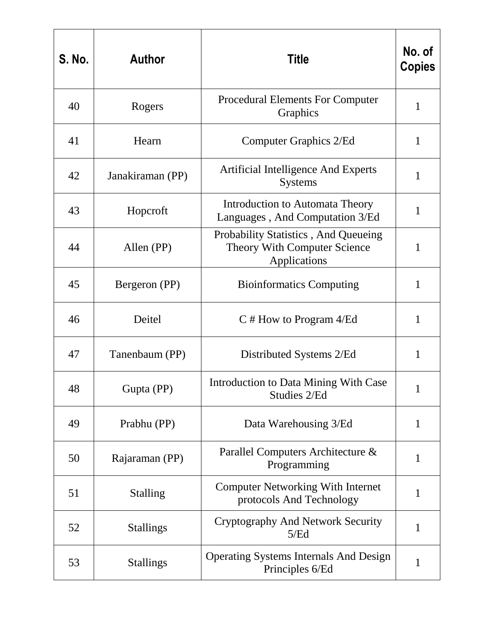| <b>S. No.</b> | <b>Author</b>    | <b>Title</b>                                                                                | No. of<br><b>Copies</b> |
|---------------|------------------|---------------------------------------------------------------------------------------------|-------------------------|
| 40            | Rogers           | <b>Procedural Elements For Computer</b><br>Graphics                                         | $\mathbf{1}$            |
| 41            | Hearn            | Computer Graphics 2/Ed                                                                      | $\mathbf{1}$            |
| 42            | Janakiraman (PP) | Artificial Intelligence And Experts<br><b>Systems</b>                                       | $\mathbf{1}$            |
| 43            | Hopcroft         | Introduction to Automata Theory<br>Languages, And Computation 3/Ed                          | 1                       |
| 44            | Allen (PP)       | Probability Statistics, And Queueing<br><b>Theory With Computer Science</b><br>Applications | 1                       |
| 45            | Bergeron (PP)    | <b>Bioinformatics Computing</b>                                                             | $\mathbf{1}$            |
| 46            | Deitel           | $C \#$ How to Program 4/Ed                                                                  | $\mathbf{1}$            |
| 47            | Tanenbaum (PP)   | Distributed Systems 2/Ed                                                                    | 1                       |
| 48            | Gupta (PP)       | Introduction to Data Mining With Case<br>Studies 2/Ed                                       |                         |
| 49            | Prabhu (PP)      | Data Warehousing 3/Ed                                                                       | $\mathbf{1}$            |
| 50            | Rajaraman (PP)   | Parallel Computers Architecture &<br>Programming                                            | 1                       |
| 51            | <b>Stalling</b>  | <b>Computer Networking With Internet</b><br>protocols And Technology                        | $\mathbf{1}$            |
| 52            | <b>Stallings</b> | <b>Cryptography And Network Security</b><br>5/Ed                                            | 1                       |
| 53            | <b>Stallings</b> | <b>Operating Systems Internals And Design</b><br>Principles 6/Ed                            | 1                       |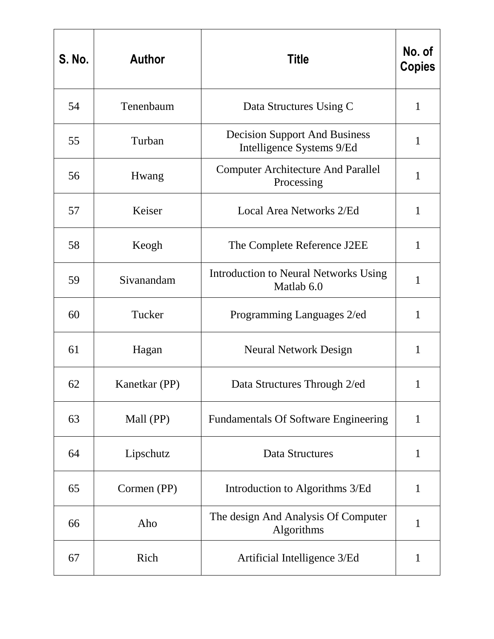| <b>S. No.</b> | <b>Author</b> | <b>Title</b>                                                      | No. of<br><b>Copies</b> |
|---------------|---------------|-------------------------------------------------------------------|-------------------------|
| 54            | Tenenbaum     | Data Structures Using C                                           | $\mathbf{1}$            |
| 55            | Turban        | <b>Decision Support And Business</b><br>Intelligence Systems 9/Ed | $\mathbf{1}$            |
| 56            | Hwang         | <b>Computer Architecture And Parallel</b><br>Processing           | $\mathbf{1}$            |
| 57            | Keiser        | Local Area Networks 2/Ed                                          | 1                       |
| 58            | Keogh         | The Complete Reference J2EE                                       | 1                       |
| 59            | Sivanandam    | Introduction to Neural Networks Using<br>Matlab 6.0               | $\mathbf{1}$            |
| 60            | Tucker        | Programming Languages 2/ed                                        | $\mathbf{1}$            |
| 61            | Hagan         | <b>Neural Network Design</b>                                      | $\mathbf{1}$            |
| 62            | Kanetkar (PP) | Data Structures Through 2/ed                                      | 1                       |
| 63            | Mall (PP)     | <b>Fundamentals Of Software Engineering</b>                       | $\mathbf{1}$            |
| 64            | Lipschutz     | <b>Data Structures</b>                                            | $\mathbf{1}$            |
| 65            | Cormen (PP)   | Introduction to Algorithms 3/Ed                                   | $\mathbf{1}$            |
| 66            | Aho           | The design And Analysis Of Computer<br>Algorithms                 | 1                       |
| 67            | Rich          | Artificial Intelligence 3/Ed                                      | $\mathbf{1}$            |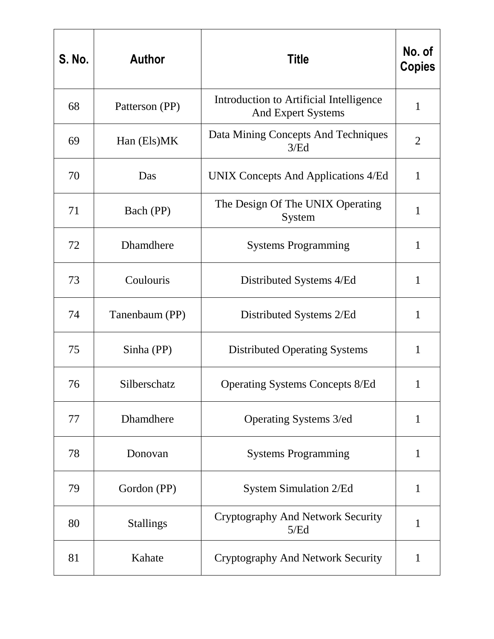| <b>S. No.</b> | <b>Author</b>    | <b>Title</b>                                                         | No. of<br><b>Copies</b> |
|---------------|------------------|----------------------------------------------------------------------|-------------------------|
| 68            | Patterson (PP)   | Introduction to Artificial Intelligence<br><b>And Expert Systems</b> | $\mathbf{1}$            |
| 69            | Han (Els)MK      | Data Mining Concepts And Techniques<br>3/Ed                          | $\overline{2}$          |
| 70            | Das              | UNIX Concepts And Applications 4/Ed                                  | $\mathbf{1}$            |
| 71            | Bach (PP)        | The Design Of The UNIX Operating<br>System                           | 1                       |
| 72            | Dhamdhere        | <b>Systems Programming</b>                                           | $\mathbf{1}$            |
| 73            | Coulouris        | Distributed Systems 4/Ed                                             | $\mathbf{1}$            |
| 74            | Tanenbaum (PP)   | Distributed Systems 2/Ed                                             | $\mathbf{1}$            |
| 75            | Sinha (PP)       | <b>Distributed Operating Systems</b>                                 | $\mathbf{1}$            |
| 76            | Silberschatz     | <b>Operating Systems Concepts 8/Ed</b>                               | 1                       |
| 77            | Dhamdhere        | Operating Systems 3/ed                                               | 1                       |
| 78            | Donovan          | <b>Systems Programming</b>                                           | 1                       |
| 79            | Gordon (PP)      | <b>System Simulation 2/Ed</b>                                        | $\mathbf{1}$            |
| 80            | <b>Stallings</b> | <b>Cryptography And Network Security</b><br>5/Ed                     | 1                       |
| 81            | Kahate           | <b>Cryptography And Network Security</b>                             | $\mathbf{1}$            |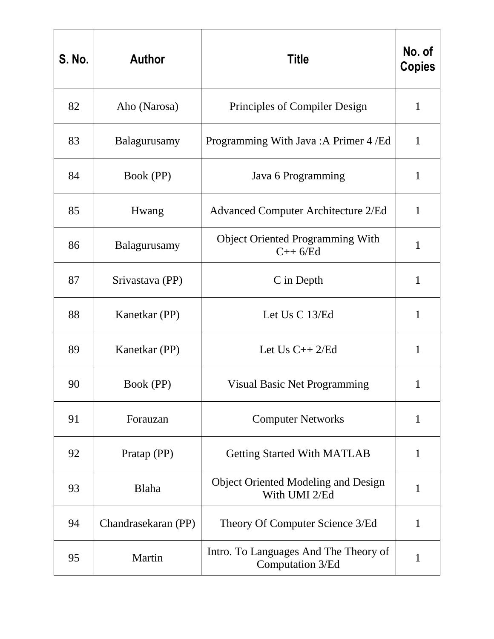| <b>S. No.</b> | <b>Author</b>       | <b>Title</b>                                                | No. of<br><b>Copies</b> |
|---------------|---------------------|-------------------------------------------------------------|-------------------------|
| 82            | Aho (Narosa)        | Principles of Compiler Design                               | $\mathbf{1}$            |
| 83            | Balagurusamy        | Programming With Java: A Primer 4 / Ed                      | $\mathbf{1}$            |
| 84            | Book (PP)           | Java 6 Programming                                          | $\mathbf{1}$            |
| 85            | Hwang               | <b>Advanced Computer Architecture 2/Ed</b>                  | $\mathbf{1}$            |
| 86            | Balagurusamy        | <b>Object Oriented Programming With</b><br>$C++6/Ed$        | $\mathbf{1}$            |
| 87            | Srivastava (PP)     | C in Depth                                                  | $\mathbf{1}$            |
| 88            | Kanetkar (PP)       | Let Us C 13/Ed                                              | $\mathbf{1}$            |
| 89            | Kanetkar (PP)       | Let $Us$ $C++2/Ed$                                          | $\mathbf{1}$            |
| 90            | Book (PP)           | <b>Visual Basic Net Programming</b>                         | 1                       |
| 91            | Forauzan            | <b>Computer Networks</b>                                    | 1                       |
| 92            | Pratap (PP)         | <b>Getting Started With MATLAB</b>                          | $\mathbf{1}$            |
| 93            | Blaha               | <b>Object Oriented Modeling and Design</b><br>With UMI 2/Ed | $\mathbf{1}$            |
| 94            | Chandrasekaran (PP) | Theory Of Computer Science 3/Ed                             | 1                       |
| 95            | Martin              | Intro. To Languages And The Theory of<br>Computation 3/Ed   | $\mathbf{1}$            |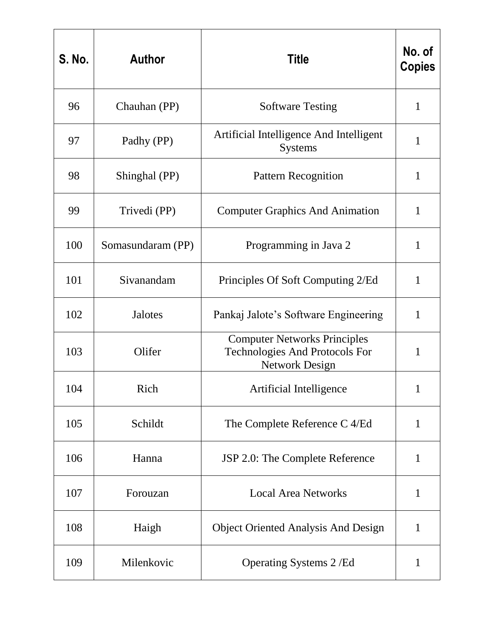| <b>S. No.</b> | <b>Author</b>     | <b>Title</b>                                                                                   | No. of<br><b>Copies</b> |
|---------------|-------------------|------------------------------------------------------------------------------------------------|-------------------------|
| 96            | Chauhan (PP)      | <b>Software Testing</b>                                                                        | $\mathbf{1}$            |
| 97            | Padhy (PP)        | Artificial Intelligence And Intelligent<br><b>Systems</b>                                      | $\mathbf{1}$            |
| 98            | Shinghal (PP)     | <b>Pattern Recognition</b>                                                                     | $\mathbf{1}$            |
| 99            | Trivedi (PP)      | <b>Computer Graphics And Animation</b>                                                         | $\mathbf{1}$            |
| 100           | Somasundaram (PP) | Programming in Java 2                                                                          | 1                       |
| 101           | Sivanandam        | Principles Of Soft Computing 2/Ed                                                              | $\mathbf{1}$            |
| 102           | <b>Jalotes</b>    | Pankaj Jalote's Software Engineering                                                           | $\mathbf{1}$            |
| 103           | Olifer            | <b>Computer Networks Principles</b><br>Technologies And Protocols For<br><b>Network Design</b> | $\mathbf{1}$            |
| 104           | Rich              | Artificial Intelligence                                                                        | 1                       |
| 105           | Schildt           | The Complete Reference C 4/Ed                                                                  | $\mathbf{1}$            |
| 106           | Hanna             | JSP 2.0: The Complete Reference                                                                | $\mathbf{1}$            |
| 107           | Forouzan          | <b>Local Area Networks</b>                                                                     | $\mathbf{1}$            |
| 108           | Haigh             | <b>Object Oriented Analysis And Design</b>                                                     | $\mathbf{1}$            |
| 109           | Milenkovic        | Operating Systems 2/Ed                                                                         | $\mathbf{1}$            |